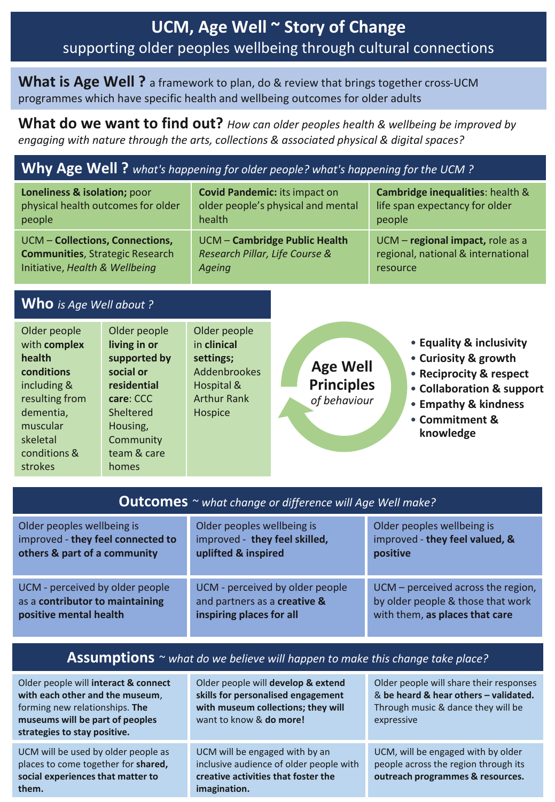## **UCM, Age Well ~ Story of Change** supporting older peoples wellbeing through cultural connections

#### **What is Age Well ?** a framework to plan, do & review that brings together cross-UCM programmes which have specific health and wellbeing outcomes for older adults

**What do we want to find out?** *How can older peoples health & wellbeing be improved by engaging with nature through the arts, collections & associated physical & digital spaces?*

### **Why Age Well ?** *what's happening for older people? what's happening for the UCM ?*

| Loneliness & isolation; poor           | <b>Covid Pandemic: its impact on</b> | Cambridge inequalities: health &   |
|----------------------------------------|--------------------------------------|------------------------------------|
| physical health outcomes for older     | older people's physical and mental   | life span expectancy for older     |
| people                                 | health                               | people                             |
| UCM - Collections, Connections,        | <b>UCM - Cambridge Public Health</b> | UCM - regional impact, role as a   |
| <b>Communities, Strategic Research</b> | Research Pillar, Life Course &       | regional, national & international |
| Initiative, Health & Wellbeing         | Ageing                               | resource                           |

#### **Who** *is Age Well about ?*

| Older people<br>with complex<br>health<br>conditions<br>including &<br>resulting from<br>dementia,<br>muscular<br>skeletal<br>conditions &<br>strokes | Older people<br>living in or<br>supported by<br>social or<br>residential<br>care: CCC<br>Sheltered<br>Housing,<br>Community<br>team & care<br>homes | Older people<br>in clinical<br>settings;<br><b>Addenbrookes</b><br>Hospital &<br><b>Arthur Rank</b><br>Hospice | <b>Age Well</b><br><b>Principles</b><br>of behaviour | • Equality & inclusivity<br>• Curiosity & growth<br>• Reciprocity & respect<br>• Collaboration & support<br>• Empathy & kindness<br>• Commitment &<br>knowledge |
|-------------------------------------------------------------------------------------------------------------------------------------------------------|-----------------------------------------------------------------------------------------------------------------------------------------------------|----------------------------------------------------------------------------------------------------------------|------------------------------------------------------|-----------------------------------------------------------------------------------------------------------------------------------------------------------------|
|-------------------------------------------------------------------------------------------------------------------------------------------------------|-----------------------------------------------------------------------------------------------------------------------------------------------------|----------------------------------------------------------------------------------------------------------------|------------------------------------------------------|-----------------------------------------------------------------------------------------------------------------------------------------------------------------|

| <b>Outcomes</b> ~ what change or difference will Age Well make? |                                 |                                    |  |
|-----------------------------------------------------------------|---------------------------------|------------------------------------|--|
| Older peoples wellbeing is                                      | Older peoples wellbeing is      | Older peoples wellbeing is         |  |
| improved - they feel connected to                               | improved - they feel skilled,   | improved - they feel valued, &     |  |
| others & part of a community                                    | uplifted & inspired             | positive                           |  |
| UCM - perceived by older people                                 | UCM - perceived by older people | UCM - perceived across the region, |  |
| as a contributor to maintaining                                 | and partners as a creative &    | by older people & those that work  |  |
| positive mental health                                          | inspiring places for all        | with them, as places that care     |  |

#### **Assumptions** ~ *what do we believe will happen to make this change take place?*

| Older people will interact & connect<br>with each other and the museum,<br>forming new relationships. The<br>museums will be part of peoples<br>strategies to stay positive. | Older people will develop & extend<br>skills for personalised engagement<br>with museum collections; they will<br>want to know & do more! | Older people will share their responses<br>& be heard & hear others - validated.<br>Through music & dance they will be<br>expressive |
|------------------------------------------------------------------------------------------------------------------------------------------------------------------------------|-------------------------------------------------------------------------------------------------------------------------------------------|--------------------------------------------------------------------------------------------------------------------------------------|
| UCM will be used by older people as<br>places to come together for shared,<br>social experiences that matter to<br>them.                                                     | UCM will be engaged with by an<br>inclusive audience of older people with<br>creative activities that foster the<br>imagination.          | UCM, will be engaged with by older<br>people across the region through its<br>outreach programmes & resources.                       |